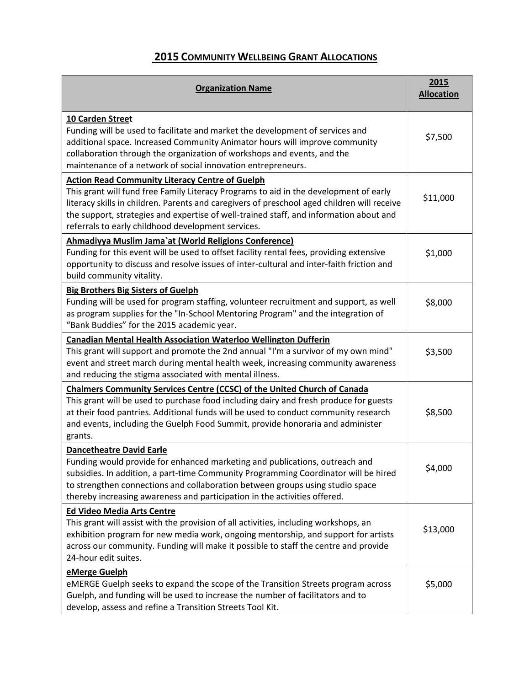## **2015 COMMUNITY WELLBEING GRANT ALLOCATIONS**

| <b>Organization Name</b>                                                                                                                                                                                                                                                                                                                                                                       | 2015<br><b>Allocation</b> |
|------------------------------------------------------------------------------------------------------------------------------------------------------------------------------------------------------------------------------------------------------------------------------------------------------------------------------------------------------------------------------------------------|---------------------------|
| 10 Carden Street<br>Funding will be used to facilitate and market the development of services and<br>additional space. Increased Community Animator hours will improve community<br>collaboration through the organization of workshops and events, and the<br>maintenance of a network of social innovation entrepreneurs.                                                                    | \$7,500                   |
| <b>Action Read Community Literacy Centre of Guelph</b><br>This grant will fund free Family Literacy Programs to aid in the development of early<br>literacy skills in children. Parents and caregivers of preschool aged children will receive<br>the support, strategies and expertise of well-trained staff, and information about and<br>referrals to early childhood development services. | \$11,000                  |
| Ahmadiyya Muslim Jama'at (World Religions Conference)<br>Funding for this event will be used to offset facility rental fees, providing extensive<br>opportunity to discuss and resolve issues of inter-cultural and inter-faith friction and<br>build community vitality.                                                                                                                      | \$1,000                   |
| <b>Big Brothers Big Sisters of Guelph</b><br>Funding will be used for program staffing, volunteer recruitment and support, as well<br>as program supplies for the "In-School Mentoring Program" and the integration of<br>"Bank Buddies" for the 2015 academic year.                                                                                                                           | \$8,000                   |
| <b>Canadian Mental Health Association Waterloo Wellington Dufferin</b><br>This grant will support and promote the 2nd annual "I'm a survivor of my own mind"<br>event and street march during mental health week, increasing community awareness<br>and reducing the stigma associated with mental illness.                                                                                    | \$3,500                   |
| <b>Chalmers Community Services Centre (CCSC) of the United Church of Canada</b><br>This grant will be used to purchase food including dairy and fresh produce for guests<br>at their food pantries. Additional funds will be used to conduct community research<br>and events, including the Guelph Food Summit, provide honoraria and administer<br>grants.                                   | \$8,500                   |
| <b>Dancetheatre David Earle</b><br>Funding would provide for enhanced marketing and publications, outreach and<br>subsidies. In addition, a part-time Community Programming Coordinator will be hired<br>to strengthen connections and collaboration between groups using studio space<br>thereby increasing awareness and participation in the activities offered.                            | \$4,000                   |
| <b>Ed Video Media Arts Centre</b><br>This grant will assist with the provision of all activities, including workshops, an<br>exhibition program for new media work, ongoing mentorship, and support for artists<br>across our community. Funding will make it possible to staff the centre and provide<br>24-hour edit suites.                                                                 | \$13,000                  |
| eMerge Guelph<br>eMERGE Guelph seeks to expand the scope of the Transition Streets program across<br>Guelph, and funding will be used to increase the number of facilitators and to<br>develop, assess and refine a Transition Streets Tool Kit.                                                                                                                                               | \$5,000                   |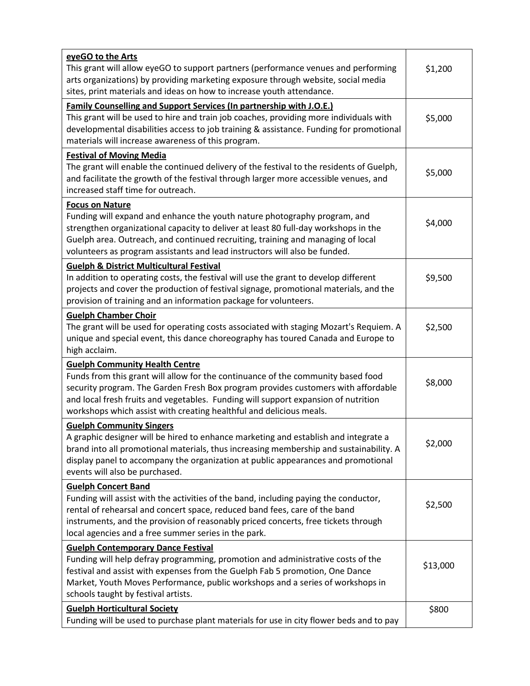| eyeGO to the Arts<br>This grant will allow eyeGO to support partners (performance venues and performing<br>arts organizations) by providing marketing exposure through website, social media<br>sites, print materials and ideas on how to increase youth attendance.                                                                                                       | \$1,200  |
|-----------------------------------------------------------------------------------------------------------------------------------------------------------------------------------------------------------------------------------------------------------------------------------------------------------------------------------------------------------------------------|----------|
| <b>Family Counselling and Support Services (In partnership with J.O.E.)</b><br>This grant will be used to hire and train job coaches, providing more individuals with<br>developmental disabilities access to job training & assistance. Funding for promotional<br>materials will increase awareness of this program.                                                      | \$5,000  |
| <b>Festival of Moving Media</b><br>The grant will enable the continued delivery of the festival to the residents of Guelph,<br>and facilitate the growth of the festival through larger more accessible venues, and<br>increased staff time for outreach.                                                                                                                   | \$5,000  |
| <b>Focus on Nature</b><br>Funding will expand and enhance the youth nature photography program, and<br>strengthen organizational capacity to deliver at least 80 full-day workshops in the<br>Guelph area. Outreach, and continued recruiting, training and managing of local<br>volunteers as program assistants and lead instructors will also be funded.                 | \$4,000  |
| <b>Guelph &amp; District Multicultural Festival</b><br>In addition to operating costs, the festival will use the grant to develop different<br>projects and cover the production of festival signage, promotional materials, and the<br>provision of training and an information package for volunteers.                                                                    | \$9,500  |
| <b>Guelph Chamber Choir</b><br>The grant will be used for operating costs associated with staging Mozart's Requiem. A<br>unique and special event, this dance choreography has toured Canada and Europe to<br>high acclaim.                                                                                                                                                 | \$2,500  |
| <b>Guelph Community Health Centre</b><br>Funds from this grant will allow for the continuance of the community based food<br>security program. The Garden Fresh Box program provides customers with affordable<br>and local fresh fruits and vegetables. Funding will support expansion of nutrition<br>workshops which assist with creating healthful and delicious meals. | \$8,000  |
| <b>Guelph Community Singers</b><br>A graphic designer will be hired to enhance marketing and establish and integrate a<br>brand into all promotional materials, thus increasing membership and sustainability. A<br>display panel to accompany the organization at public appearances and promotional<br>events will also be purchased.                                     | \$2,000  |
| <b>Guelph Concert Band</b><br>Funding will assist with the activities of the band, including paying the conductor,<br>rental of rehearsal and concert space, reduced band fees, care of the band<br>instruments, and the provision of reasonably priced concerts, free tickets through<br>local agencies and a free summer series in the park.                              | \$2,500  |
| <b>Guelph Contemporary Dance Festival</b><br>Funding will help defray programming, promotion and administrative costs of the<br>festival and assist with expenses from the Guelph Fab 5 promotion, One Dance<br>Market, Youth Moves Performance, public workshops and a series of workshops in<br>schools taught by festival artists.                                       | \$13,000 |
| <b>Guelph Horticultural Society</b><br>Funding will be used to purchase plant materials for use in city flower beds and to pay                                                                                                                                                                                                                                              | \$800    |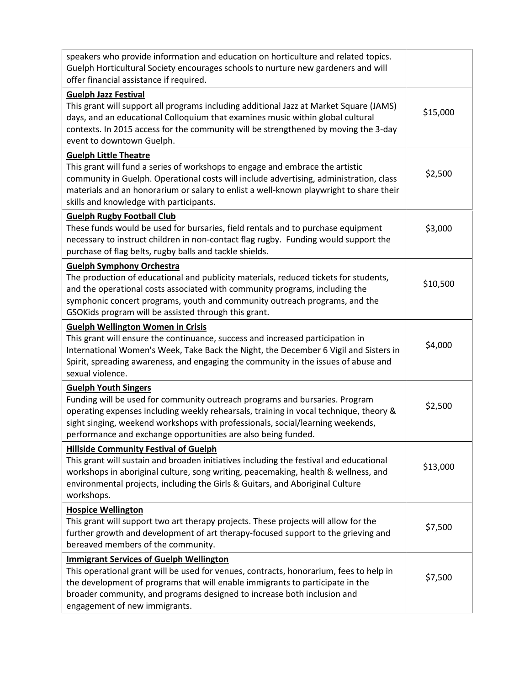| speakers who provide information and education on horticulture and related topics.<br>Guelph Horticultural Society encourages schools to nurture new gardeners and will<br>offer financial assistance if required.                                                                                                                                     |          |
|--------------------------------------------------------------------------------------------------------------------------------------------------------------------------------------------------------------------------------------------------------------------------------------------------------------------------------------------------------|----------|
| <b>Guelph Jazz Festival</b><br>This grant will support all programs including additional Jazz at Market Square (JAMS)<br>days, and an educational Colloquium that examines music within global cultural<br>contexts. In 2015 access for the community will be strengthened by moving the 3-day<br>event to downtown Guelph.                            | \$15,000 |
| <b>Guelph Little Theatre</b><br>This grant will fund a series of workshops to engage and embrace the artistic<br>community in Guelph. Operational costs will include advertising, administration, class<br>materials and an honorarium or salary to enlist a well-known playwright to share their<br>skills and knowledge with participants.           | \$2,500  |
| <b>Guelph Rugby Football Club</b><br>These funds would be used for bursaries, field rentals and to purchase equipment<br>necessary to instruct children in non-contact flag rugby. Funding would support the<br>purchase of flag belts, rugby balls and tackle shields.                                                                                | \$3,000  |
| <b>Guelph Symphony Orchestra</b><br>The production of educational and publicity materials, reduced tickets for students,<br>and the operational costs associated with community programs, including the<br>symphonic concert programs, youth and community outreach programs, and the<br>GSOKids program will be assisted through this grant.          | \$10,500 |
| <b>Guelph Wellington Women in Crisis</b><br>This grant will ensure the continuance, success and increased participation in<br>International Women's Week, Take Back the Night, the December 6 Vigil and Sisters in<br>Spirit, spreading awareness, and engaging the community in the issues of abuse and<br>sexual violence.                           | \$4,000  |
| <b>Guelph Youth Singers</b><br>Funding will be used for community outreach programs and bursaries. Program<br>operating expenses including weekly rehearsals, training in vocal technique, theory &<br>sight singing, weekend workshops with professionals, social/learning weekends,<br>performance and exchange opportunities are also being funded. | \$2,500  |
| <b>Hillside Community Festival of Guelph</b><br>This grant will sustain and broaden initiatives including the festival and educational<br>workshops in aboriginal culture, song writing, peacemaking, health & wellness, and<br>environmental projects, including the Girls & Guitars, and Aboriginal Culture<br>workshops.                            | \$13,000 |
| <b>Hospice Wellington</b><br>This grant will support two art therapy projects. These projects will allow for the<br>further growth and development of art therapy-focused support to the grieving and<br>bereaved members of the community.                                                                                                            | \$7,500  |
| <b>Immigrant Services of Guelph Wellington</b><br>This operational grant will be used for venues, contracts, honorarium, fees to help in<br>the development of programs that will enable immigrants to participate in the<br>broader community, and programs designed to increase both inclusion and<br>engagement of new immigrants.                  | \$7,500  |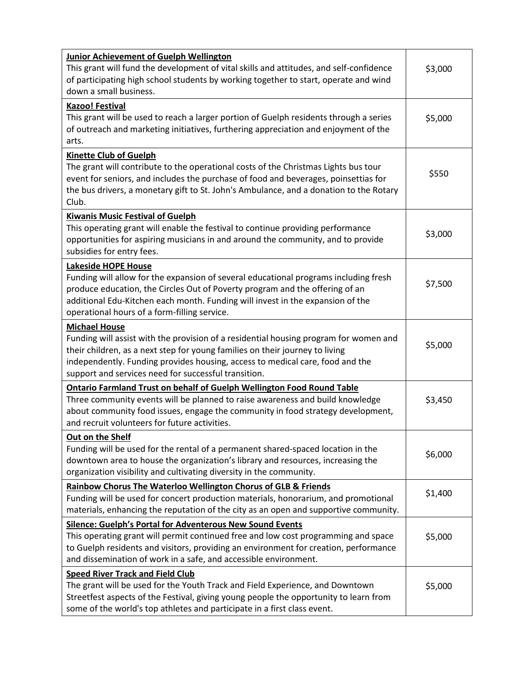| <b>Junior Achievement of Guelph Wellington</b><br>This grant will fund the development of vital skills and attitudes, and self-confidence<br>of participating high school students by working together to start, operate and wind<br>down a small business.                                                                            | \$3,000 |
|----------------------------------------------------------------------------------------------------------------------------------------------------------------------------------------------------------------------------------------------------------------------------------------------------------------------------------------|---------|
| <b>Kazoo! Festival</b><br>This grant will be used to reach a larger portion of Guelph residents through a series<br>of outreach and marketing initiatives, furthering appreciation and enjoyment of the<br>arts.                                                                                                                       | \$5,000 |
| <b>Kinette Club of Guelph</b><br>The grant will contribute to the operational costs of the Christmas Lights bus tour<br>event for seniors, and includes the purchase of food and beverages, poinsettias for<br>the bus drivers, a monetary gift to St. John's Ambulance, and a donation to the Rotary<br>Club.                         | \$550   |
| <b>Kiwanis Music Festival of Guelph</b><br>This operating grant will enable the festival to continue providing performance<br>opportunities for aspiring musicians in and around the community, and to provide<br>subsidies for entry fees.                                                                                            | \$3,000 |
| <b>Lakeside HOPE House</b><br>Funding will allow for the expansion of several educational programs including fresh<br>produce education, the Circles Out of Poverty program and the offering of an<br>additional Edu-Kitchen each month. Funding will invest in the expansion of the<br>operational hours of a form-filling service.   | \$7,500 |
| <b>Michael House</b><br>Funding will assist with the provision of a residential housing program for women and<br>their children, as a next step for young families on their journey to living<br>independently. Funding provides housing, access to medical care, food and the<br>support and services need for successful transition. | \$5,000 |
| <b>Ontario Farmland Trust on behalf of Guelph Wellington Food Round Table</b><br>Three community events will be planned to raise awareness and build knowledge<br>about community food issues, engage the community in food strategy development,<br>and recruit volunteers for future activities.                                     | \$3,450 |
| Out on the Shelf<br>Funding will be used for the rental of a permanent shared-spaced location in the<br>downtown area to house the organization's library and resources, increasing the<br>organization visibility and cultivating diversity in the community.                                                                         | \$6,000 |
| <b>Rainbow Chorus The Waterloo Wellington Chorus of GLB &amp; Friends</b><br>Funding will be used for concert production materials, honorarium, and promotional<br>materials, enhancing the reputation of the city as an open and supportive community.                                                                                | \$1,400 |
| Silence: Guelph's Portal for Adventerous New Sound Events<br>This operating grant will permit continued free and low cost programming and space<br>to Guelph residents and visitors, providing an environment for creation, performance<br>and dissemination of work in a safe, and accessible environment.                            | \$5,000 |
| <b>Speed River Track and Field Club</b><br>The grant will be used for the Youth Track and Field Experience, and Downtown<br>Streetfest aspects of the Festival, giving young people the opportunity to learn from<br>some of the world's top athletes and participate in a first class event.                                          | \$5,000 |